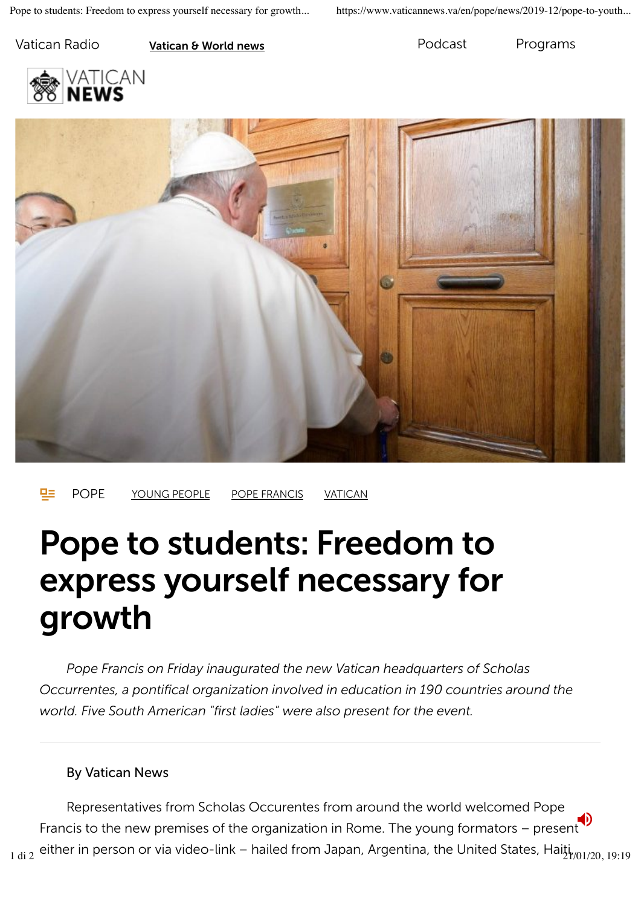Vatican Radio **Vatican & World news Podcast** Programs





POPE YOUNG PEOPLE POPE FRANCIS VATICAN

# Pope to students: Freedom to express yourself necessary for growth

*Pope Francis on Friday inaugurated the new Vatican headquarters of Scholas Occurrentes, a pontifical organization involved in education in 190 countries around the world. Five South American "first ladies" were also present for the event.*

#### By Vatican News

Representatives from Scholas Occurentes from around the world welcomed Pope Francis to the new premises of the organization in Rome. The young formators – present  $_{1\,\rm di\,2}$  either in person or via video-link – hailed from Japan, Argentina, the United States, Hai $\rm i_{1/01/20,\,19:19}$